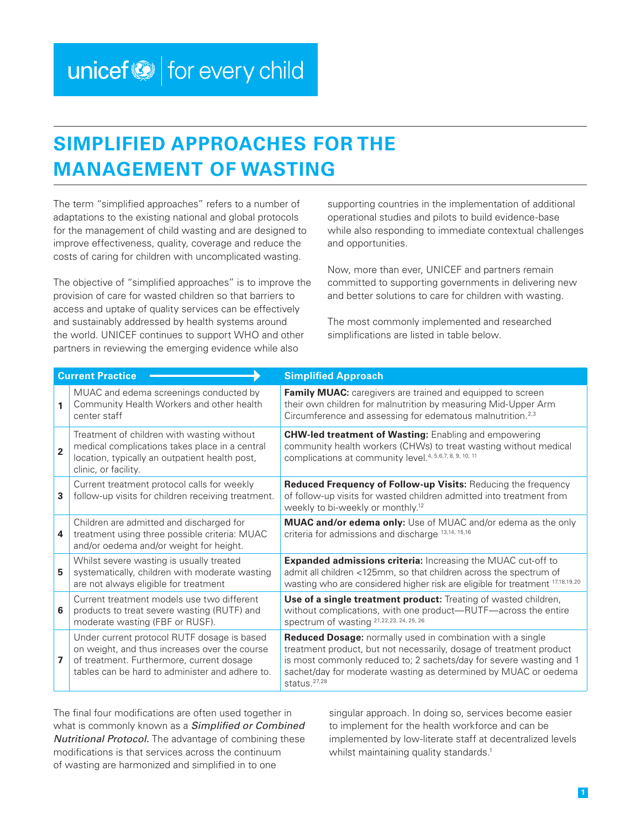## <span id="page-0-0"></span>**SIMPLIFIED APPROACHES FOR THE MANAGEMENT OF WASTING**

The term "simplified approaches" refers to a number of adaptations to the existing national and global protocols for the management of child wasting and are designed to improve effectiveness, quality, coverage and reduce the costs of caring for children with uncomplicated wasting.

The objective of "simplified approaches" is to improve the provision of care for wasted children so that barriers to access and uptake of quality services can be effectively and sustainably addressed by health systems around the world. UNICEF continues to support WHO and other partners in reviewing the emerging evidence while also

supporting countries in the implementation of additional operational studies and pilots to build evidence-base while also responding to immediate contextual challenges and opportunities.

Now, more than ever, UNICEF and partners remain committed to supporting governments in delivering new and better solutions to care for children with wasting.

The most commonly implemented and researched simplifications are listed in table below.

| <b>Current Practice</b> |                                                                                                                                                                                              | <b>Simplified Approach</b>                                                                                                                                                                                                                                                                     |
|-------------------------|----------------------------------------------------------------------------------------------------------------------------------------------------------------------------------------------|------------------------------------------------------------------------------------------------------------------------------------------------------------------------------------------------------------------------------------------------------------------------------------------------|
| 1                       | MUAC and edema screenings conducted by<br>Community Health Workers and other health<br>center staff                                                                                          | Family MUAC: caregivers are trained and equipped to screen<br>their own children for malnutrition by measuring Mid-Upper Arm<br>Circumference and assessing for edematous malnutrition. <sup>2,3</sup>                                                                                         |
| $\overline{2}$          | Treatment of children with wasting without<br>medical complications takes place in a central<br>location, typically an outpatient health post,<br>clinic, or facility.                       | <b>CHW-led treatment of Wasting: Enabling and empowering</b><br>community health workers (CHWs) to treat wasting without medical<br>complications at community level. 4, 5, 6, 7, 8, 9, 10, 11                                                                                                 |
| 3                       | Current treatment protocol calls for weekly<br>follow-up visits for children receiving treatment.                                                                                            | Reduced Frequency of Follow-up Visits: Reducing the frequency<br>of follow-up visits for wasted children admitted into treatment from<br>weekly to bi-weekly or monthly. <sup>12</sup>                                                                                                         |
| 4                       | Children are admitted and discharged for<br>treatment using three possible criteria: MUAC<br>and/or oedema and/or weight for height.                                                         | <b>MUAC and/or edema only:</b> Use of MUAC and/or edema as the only<br>criteria for admissions and discharge 13,14, 15,16                                                                                                                                                                      |
| 5                       | Whilst severe wasting is usually treated<br>systematically, children with moderate wasting<br>are not always eligible for treatment                                                          | Expanded admissions criteria: Increasing the MUAC cut-off to<br>admit all children <125mm, so that children across the spectrum of<br>wasting who are considered higher risk are eligible for treatment 17,18,19,20                                                                            |
| 6                       | Current treatment models use two different<br>products to treat severe wasting (RUTF) and<br>moderate wasting (FBF or RUSF).                                                                 | Use of a single treatment product: Treating of wasted children,<br>without complications, with one product-RUTF-across the entire<br>spectrum of wasting 21,22,23, 24, 25, 26                                                                                                                  |
| 7                       | Under current protocol RUTF dosage is based<br>on weight, and thus increases over the course<br>of treatment. Furthermore, current dosage<br>tables can be hard to administer and adhere to. | Reduced Dosage: normally used in combination with a single<br>treatment product, but not necessarily, dosage of treatment product<br>is most commonly reduced to; 2 sachets/day for severe wasting and 1<br>sachet/day for moderate wasting as determined by MUAC or oedema<br>status. $27,28$ |

The final four modifications are often used together in what is commonly known as a *Simplified or Combined Nutritional Protocol.* The advantage of combining these modifications is that services across the continuum of wasting are harmonized and simplified in to one

singular approach. In doing so, services become easier to implement for the health workforce and can be implemented by low-literate staff at decentralized levels whilst maintaining quality standards.<sup>1</sup>